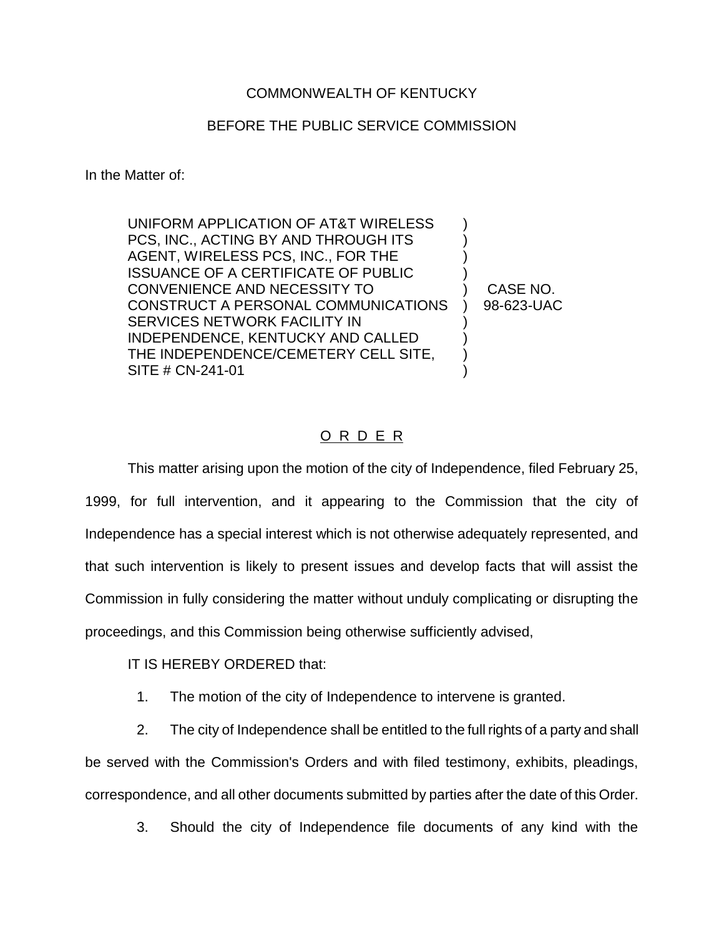## COMMONWEALTH OF KENTUCKY

## BEFORE THE PUBLIC SERVICE COMMISSION

In the Matter of:

UNIFORM APPLICATION OF AT&T WIRELESS ) PCS, INC., ACTING BY AND THROUGH ITS AGENT, WIRELESS PCS, INC., FOR THE ISSUANCE OF A CERTIFICATE OF PUBLIC ) CONVENIENCE AND NECESSITY TO ) CASE NO. CONSTRUCT A PERSONAL COMMUNICATIONS ) 98-623-UAC SERVICES NETWORK FACILITY IN ) INDEPENDENCE, KENTUCKY AND CALLED THE INDEPENDENCE/CEMETERY CELL SITE, SITE # CN-241-01

## O R D E R

This matter arising upon the motion of the city of Independence, filed February 25, 1999, for full intervention, and it appearing to the Commission that the city of Independence has a special interest which is not otherwise adequately represented, and that such intervention is likely to present issues and develop facts that will assist the Commission in fully considering the matter without unduly complicating or disrupting the proceedings, and this Commission being otherwise sufficiently advised,

IT IS HEREBY ORDERED that:

1. The motion of the city of Independence to intervene is granted.

2. The city of Independence shall be entitled to the full rights of a party and shall be served with the Commission's Orders and with filed testimony, exhibits, pleadings, correspondence, and all other documents submitted by parties after the date of this Order.

3. Should the city of Independence file documents of any kind with the